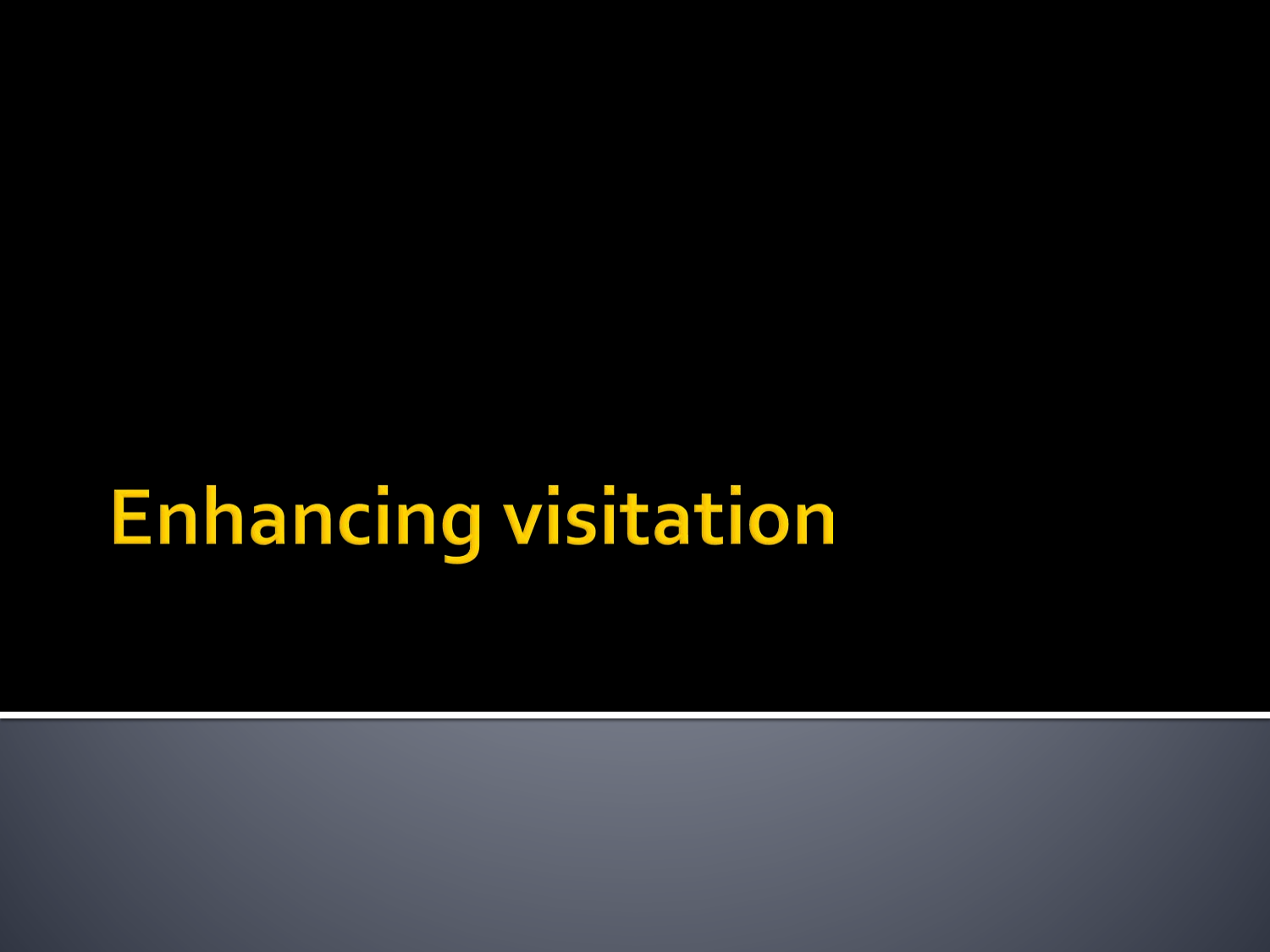# **Enhancing visitation**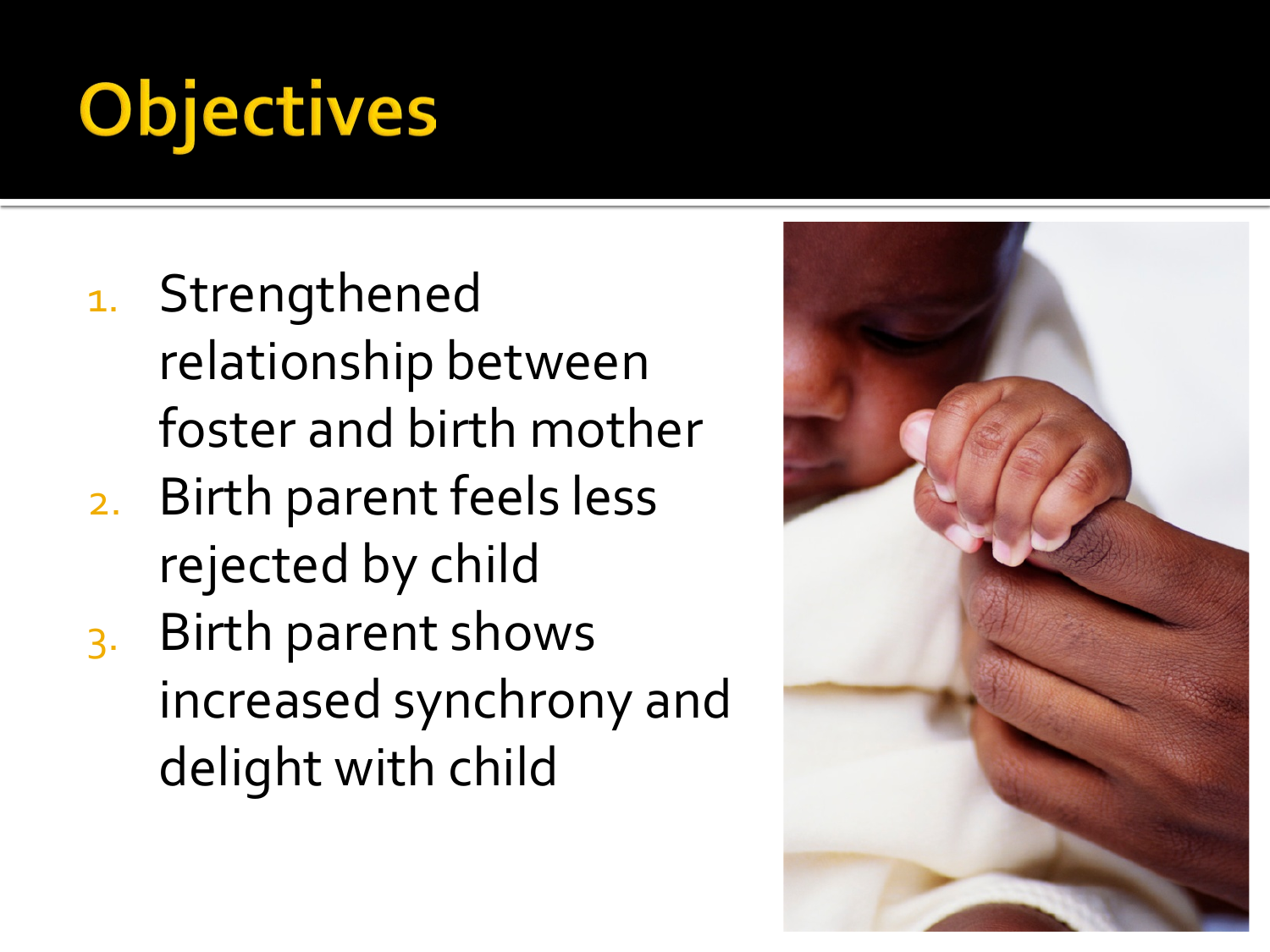# **Objectives**

- 1. Strengthened relationship between foster and birth mother
- 2. Birth parent feels less rejected by child
- 3. Birth parent shows increased synchrony and delight with child

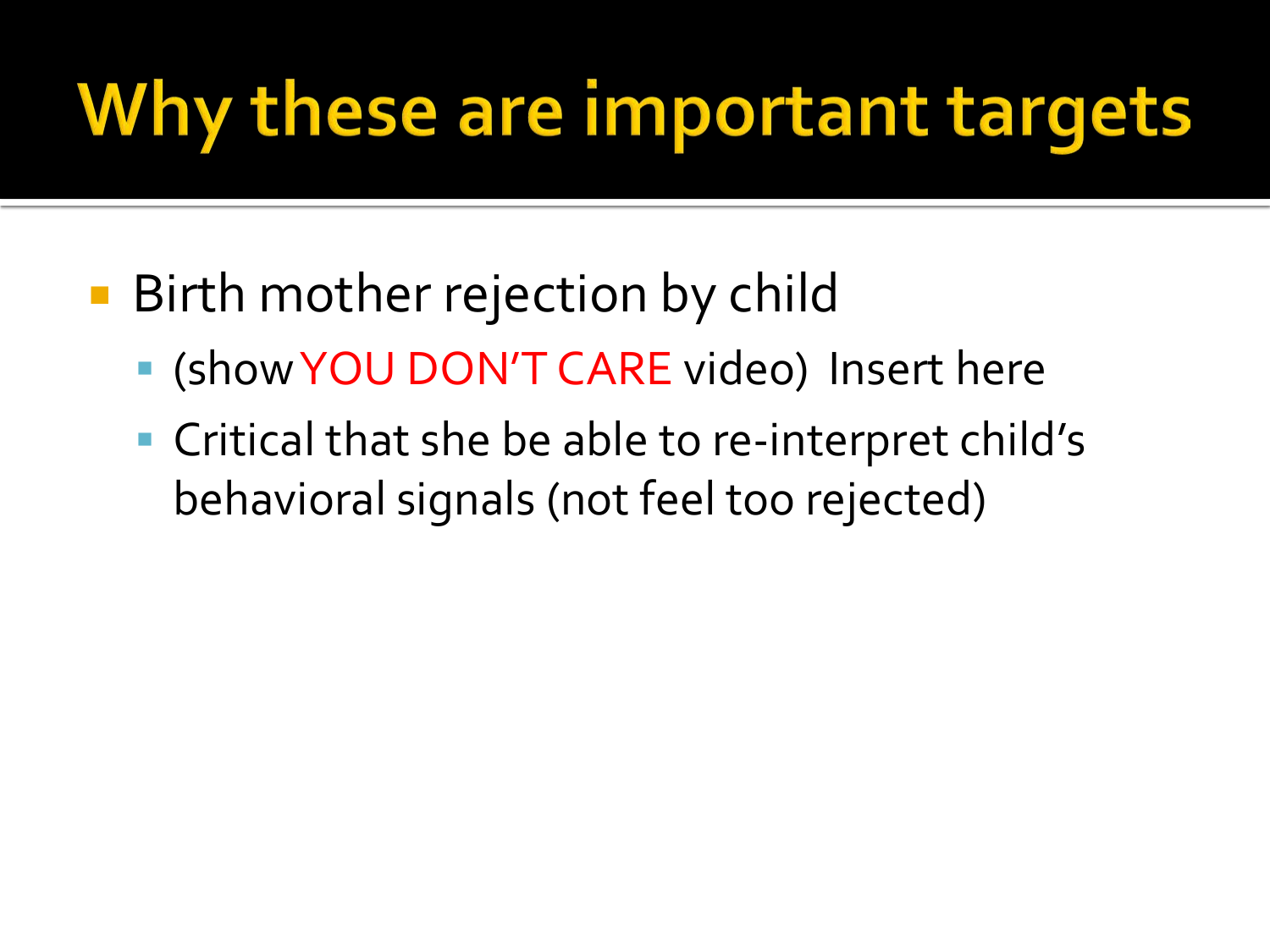## Why these are important targets

- Birth mother rejection by child
	- (show YOU DON'T CARE video) Insert here
	- Critical that she be able to re-interpret child's behavioral signals (not feel too rejected)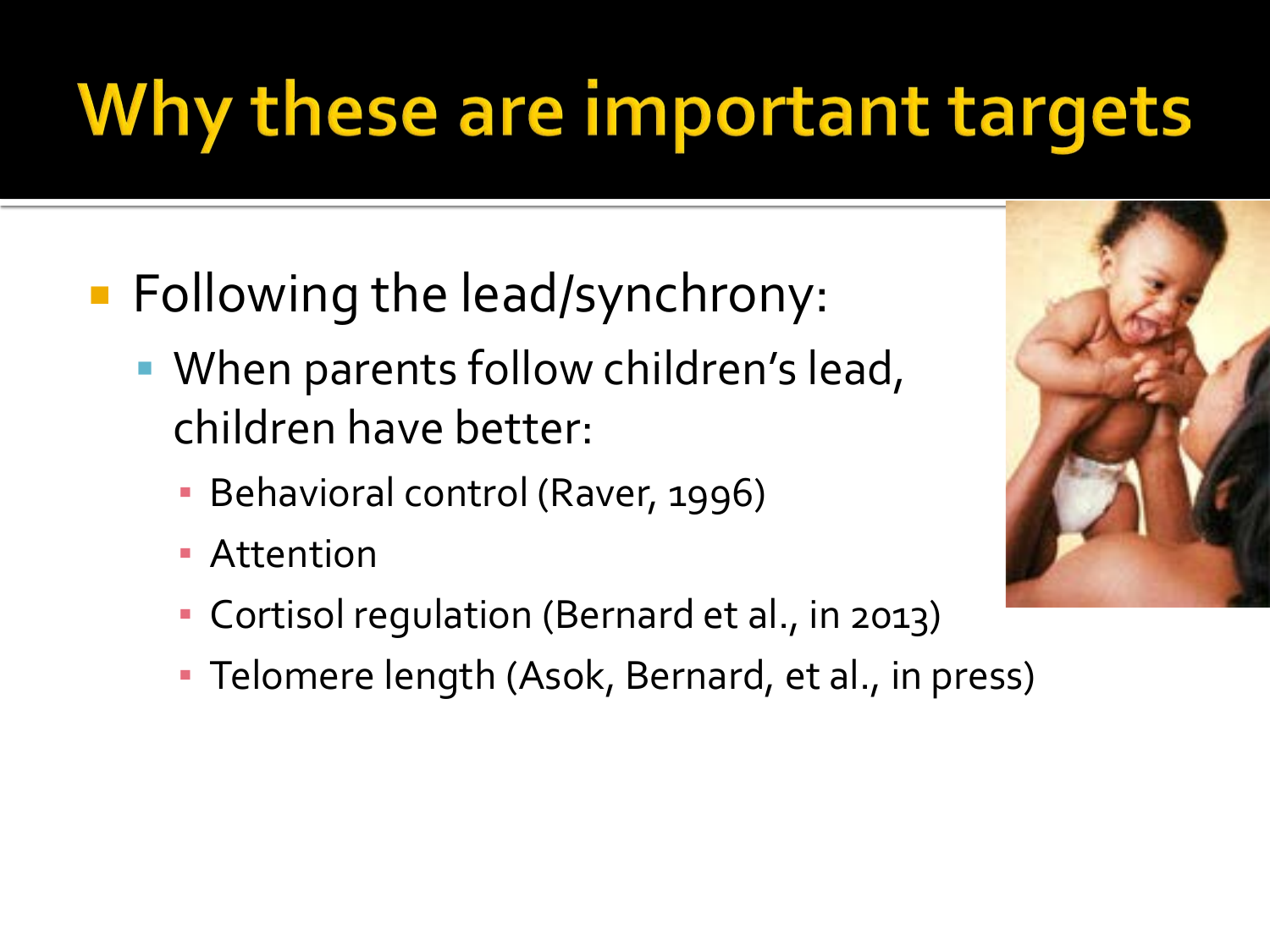# Why these are important targets

- **Following the lead/synchrony:** 
	- When parents follow children's lead, children have better:
		- **Behavioral control (Raver, 1996)**
		- **Attention**
		- Cortisol regulation (Bernard et al., in 2013)
		- **Telomere length (Asok, Bernard, et al., in press)**

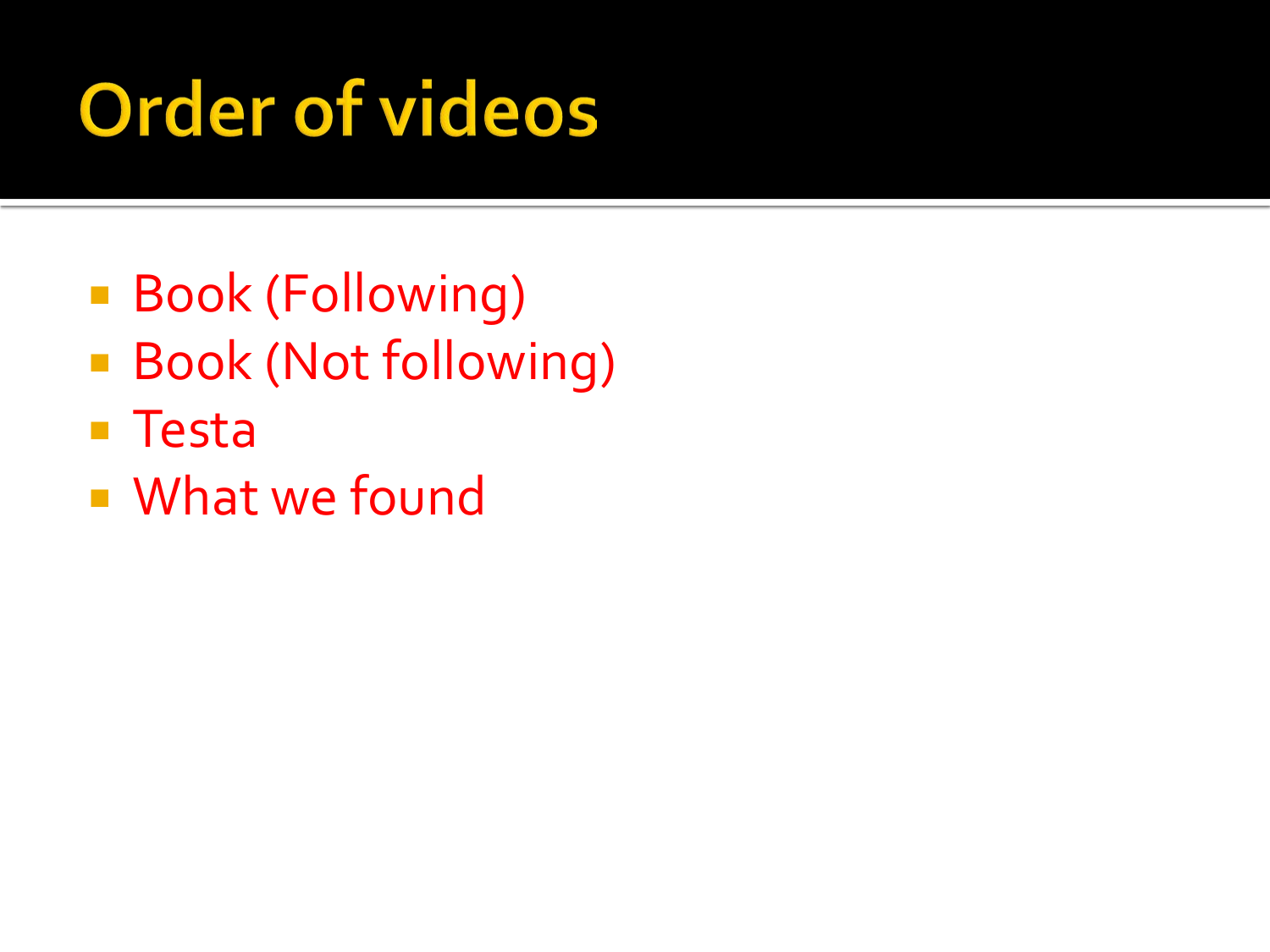# **Order of videos**

- Book (Following)
- **Book (Not following)**
- Testa
- What we found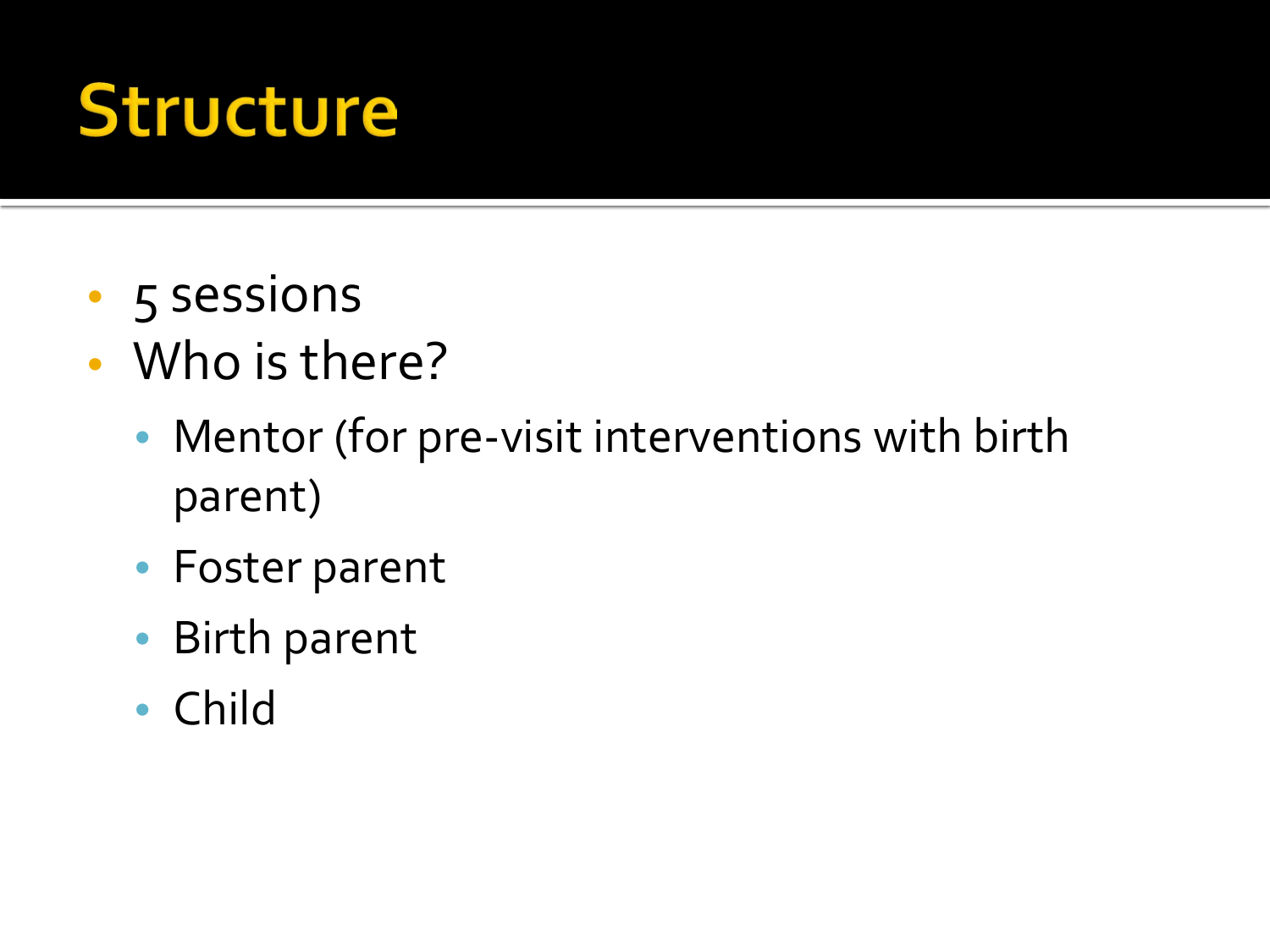#### **Structure**

- 5 sessions
- Who is there?
	- Mentor (for pre-visit interventions with birth parent)
	- Foster parent
	- Birth parent
	- Child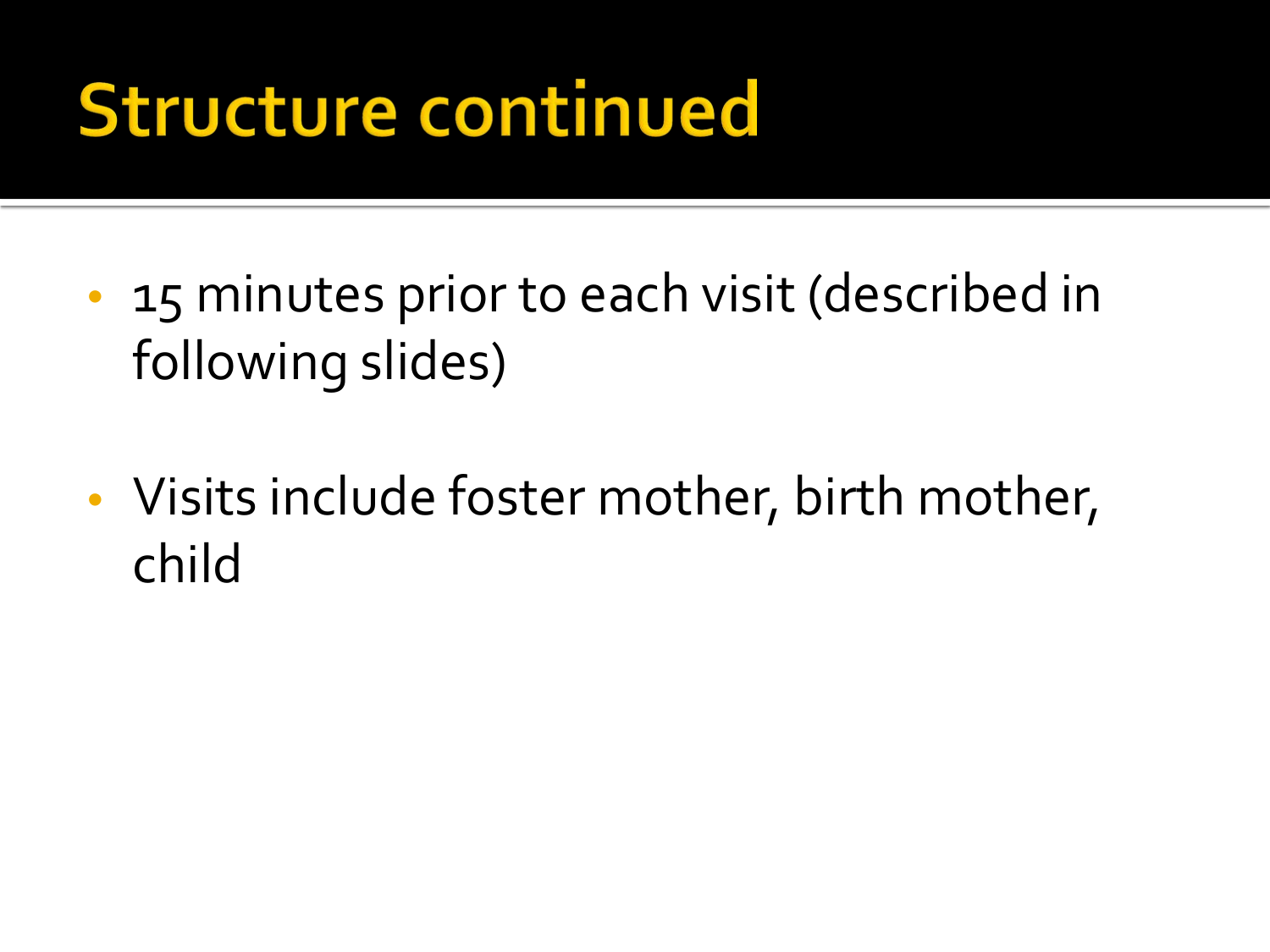#### **Structure continued**

- 15 minutes prior to each visit (described in following slides)
- Visits include foster mother, birth mother, child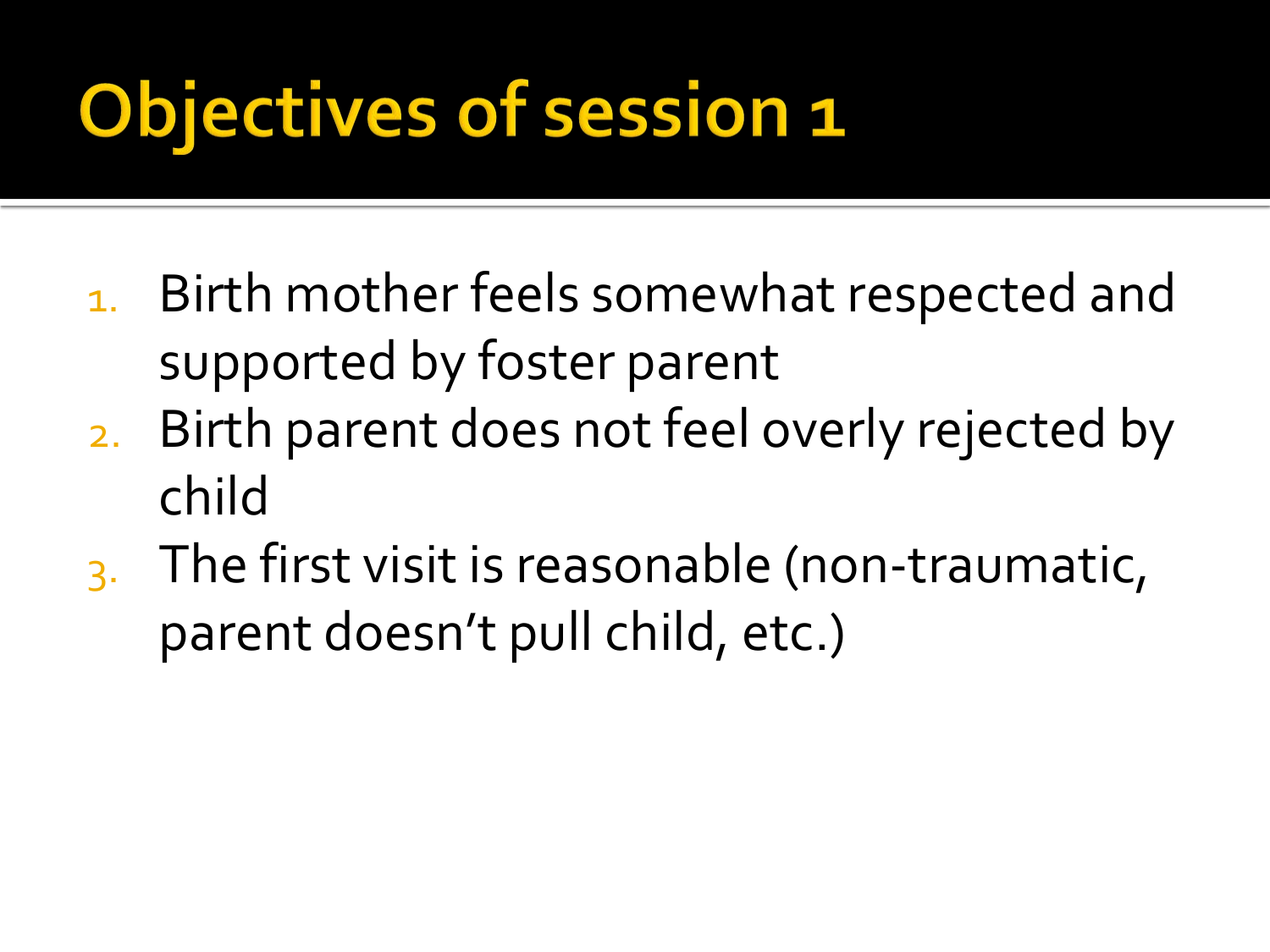# Objectives of session 1

- 1. Birth mother feels somewhat respected and supported by foster parent
- 2. Birth parent does not feel overly rejected by child
- 3. The first visit is reasonable (non-traumatic, parent doesn't pull child, etc.)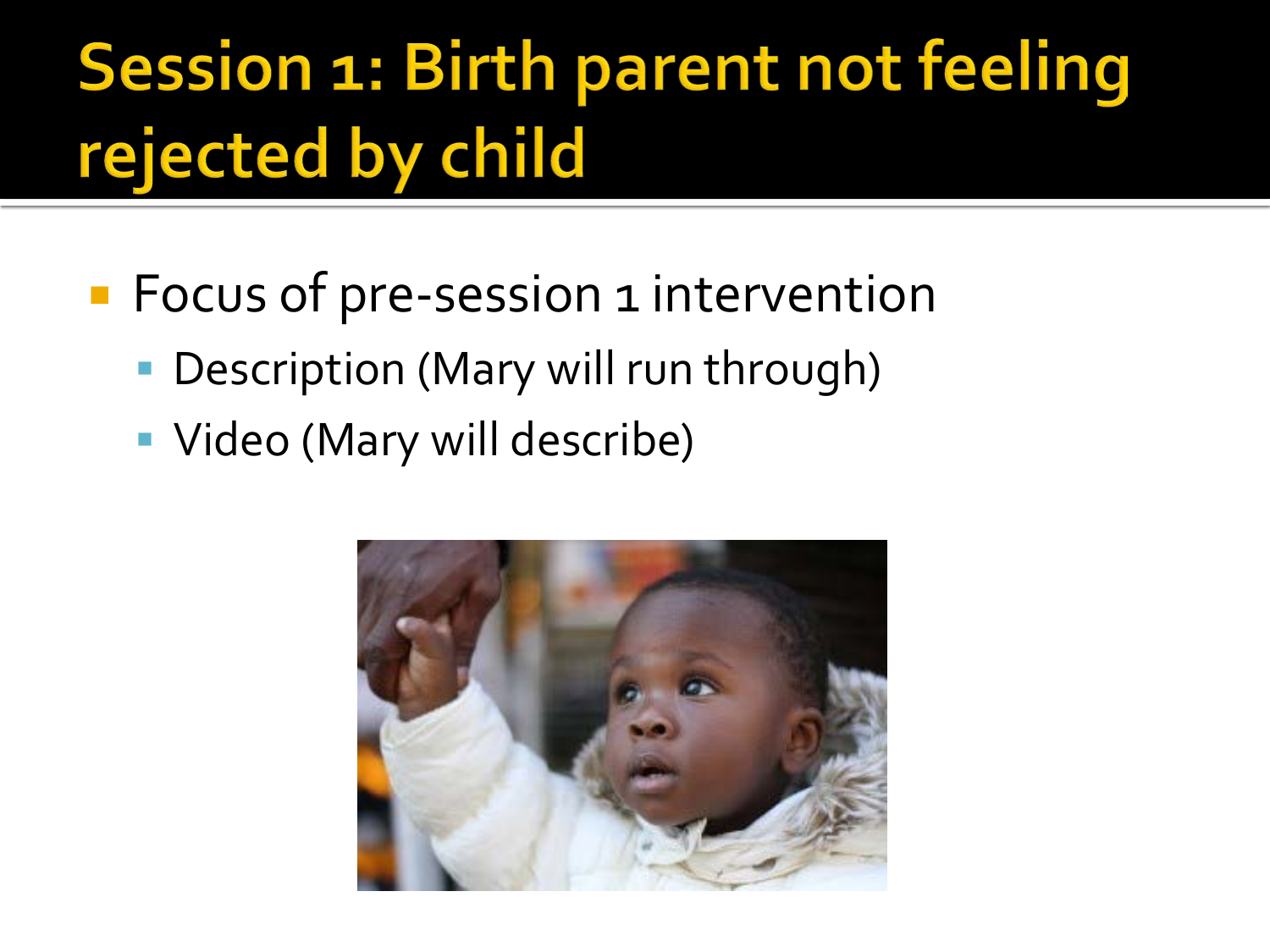#### Session 1: Birth parent not feeling rejected by child

- **Focus of pre-session 1 intervention** 
	- Description (Mary will run through)
	- **Video (Mary will describe)**

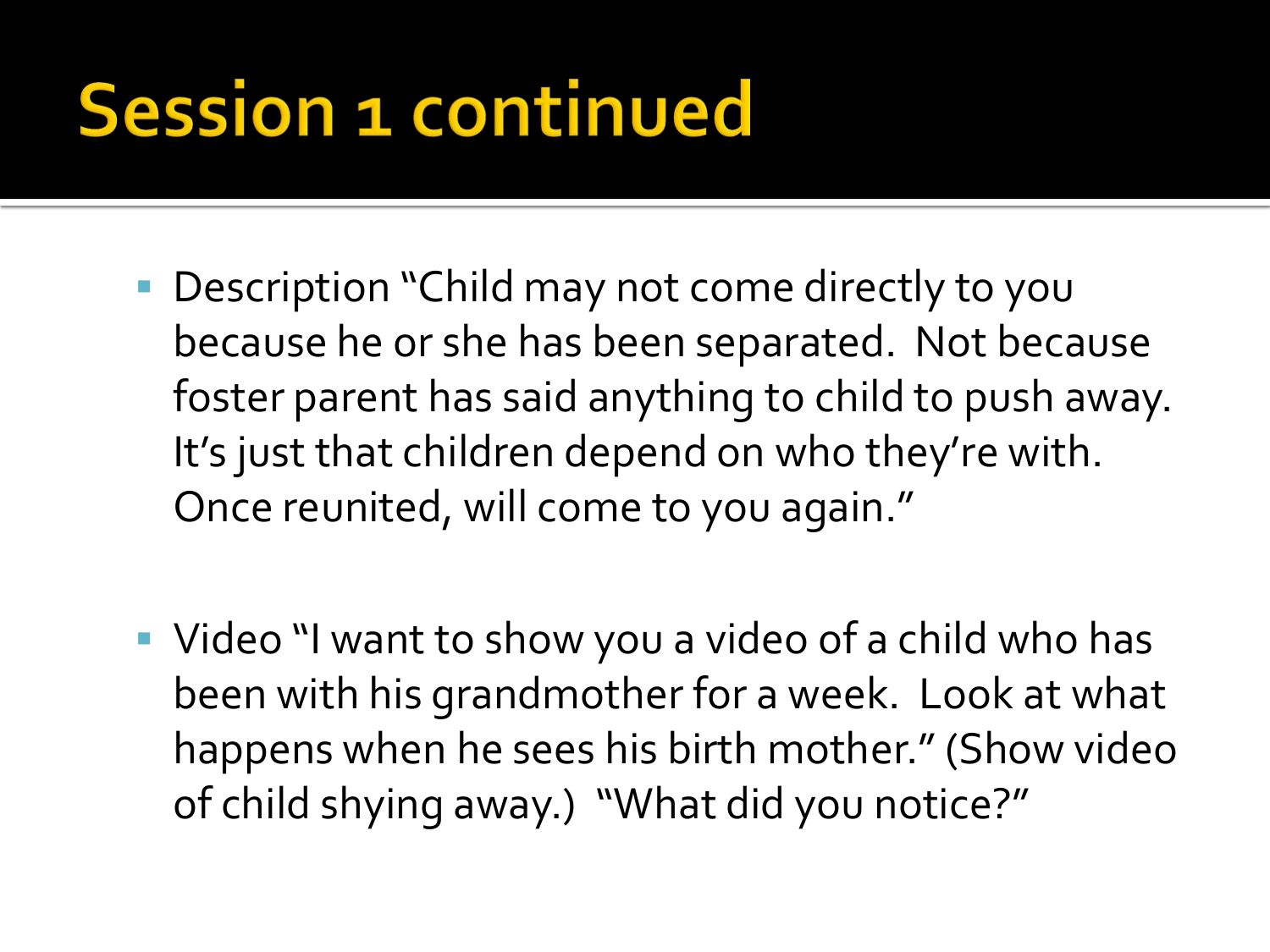#### **Session 1 continued**

- **Description "Child may not come directly to you** because he or she has been separated. Not because foster parent has said anything to child to push away. It's just that children depend on who they're with. Once reunited, will come to you again."
- Video "I want to show you a video of a child who has been with his grandmother for a week. Look at what happens when he sees his birth mother." (Show video of child shying away.) "What did you notice?"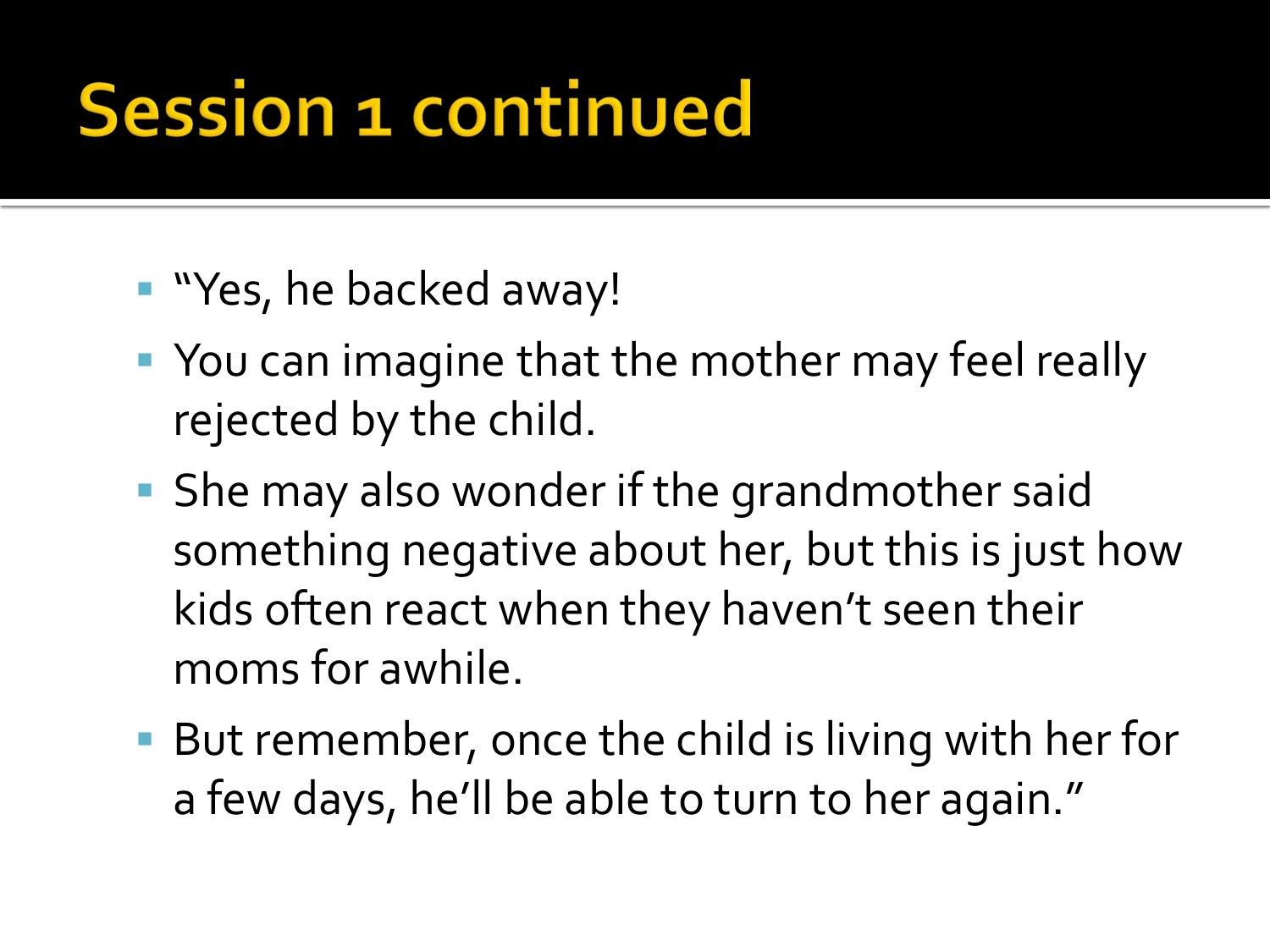#### **Session 1 continued**

- "Yes, he backed away!
- **You can imagine that the mother may feel really** rejected by the child.
- **She may also wonder if the grandmother said** something negative about her, but this is just how kids often react when they haven't seen their moms for awhile.
- But remember, once the child is living with her for a few days, he'll be able to turn to her again."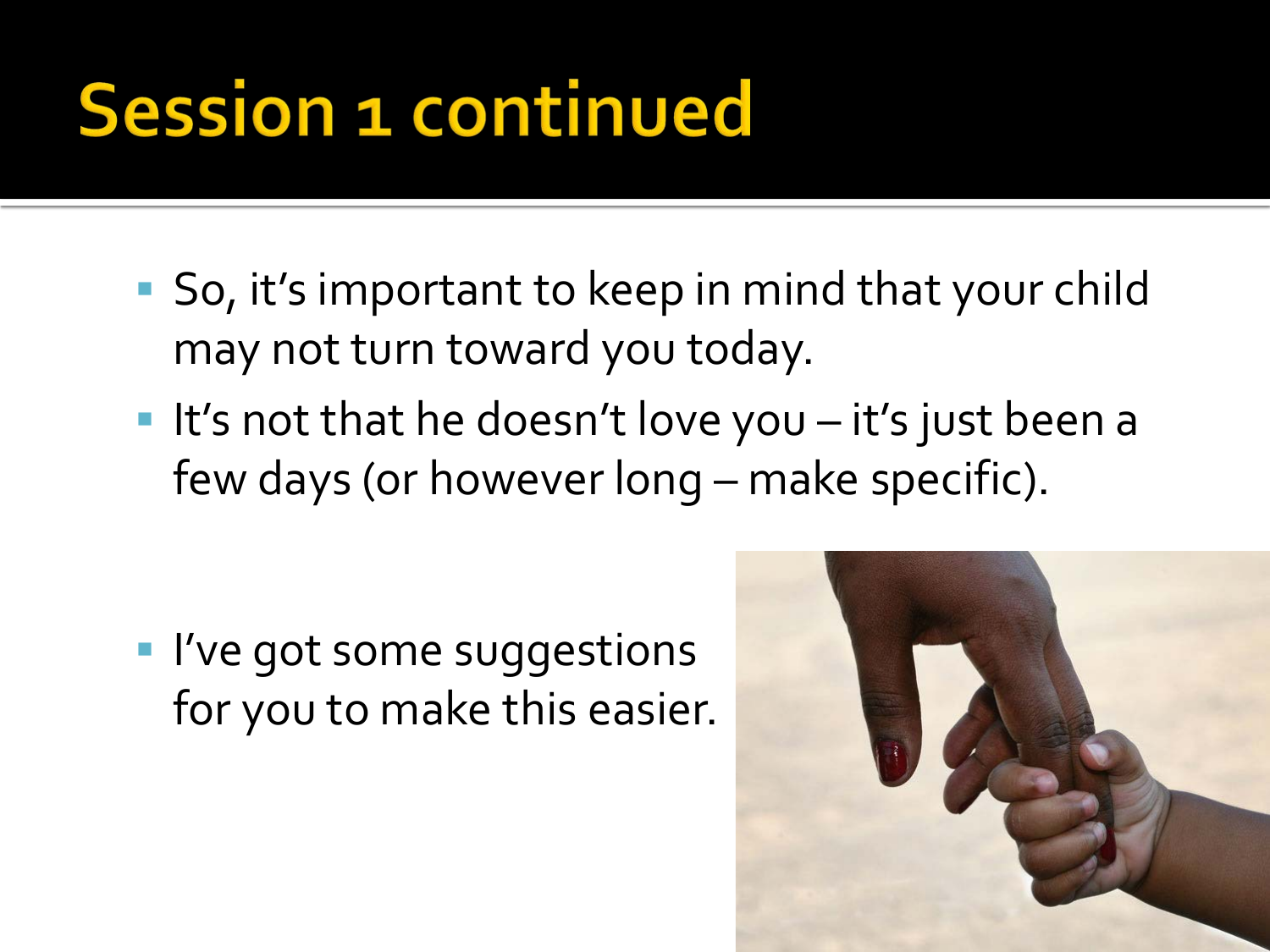#### **Session 1 continued**

- So, it's important to keep in mind that your child may not turn toward you today.
- It's not that he doesn't love you  $-$  it's just been a few days (or however long – make specific).

**I've got some suggestions** for you to make this easier.

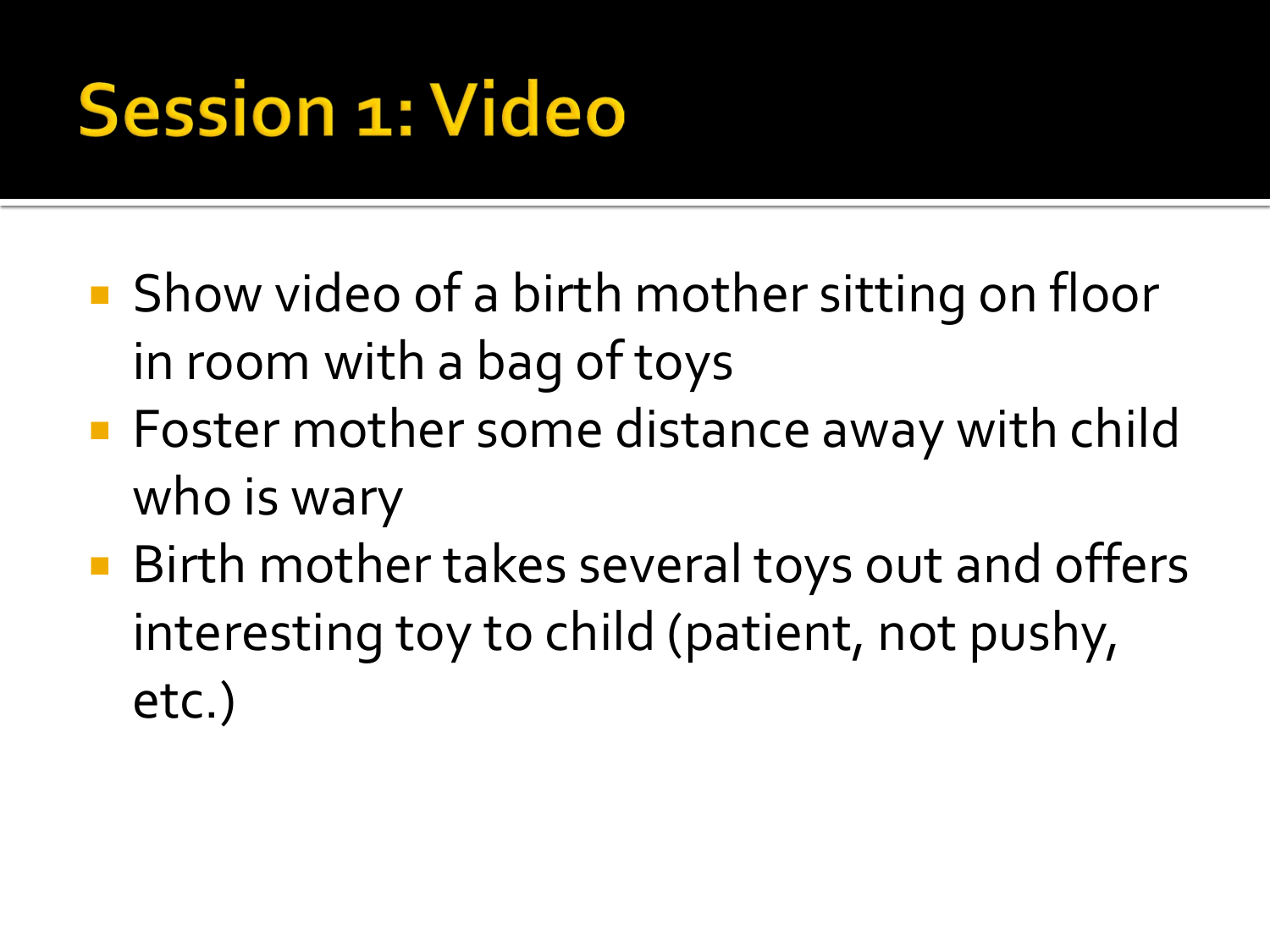### **Session 1: Video**

- Show video of a birth mother sitting on floor in room with a bag of toys
- **Foster mother some distance away with child** who is wary
- Birth mother takes several toys out and offers interesting toy to child (patient, not pushy, etc.)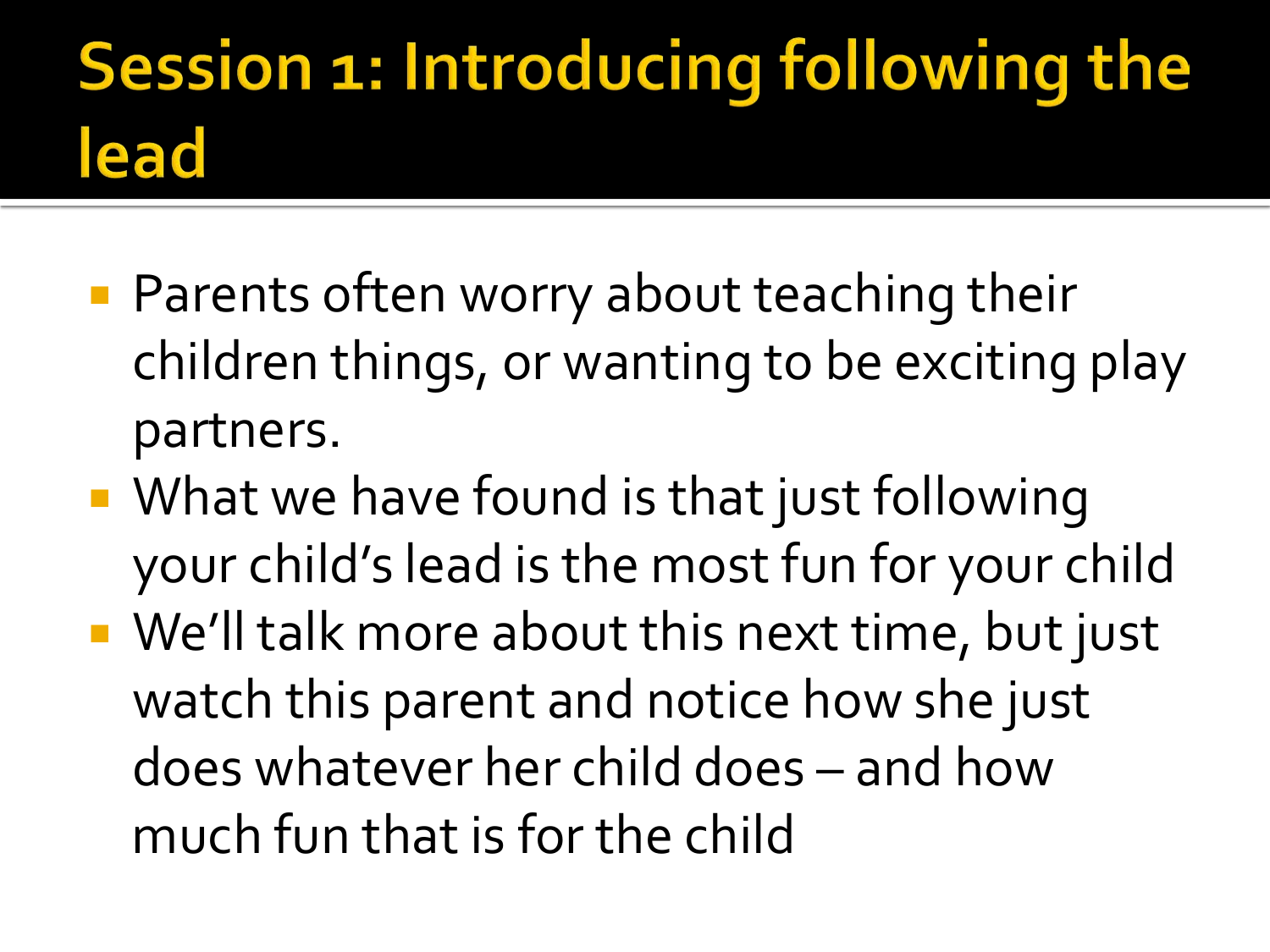#### Session 1: Introducing following the lead

- **Parents often worry about teaching their** children things, or wanting to be exciting play partners.
- What we have found is that just following your child's lead is the most fun for your child
- We'll talk more about this next time, but just watch this parent and notice how she just does whatever her child does – and how much fun that is for the child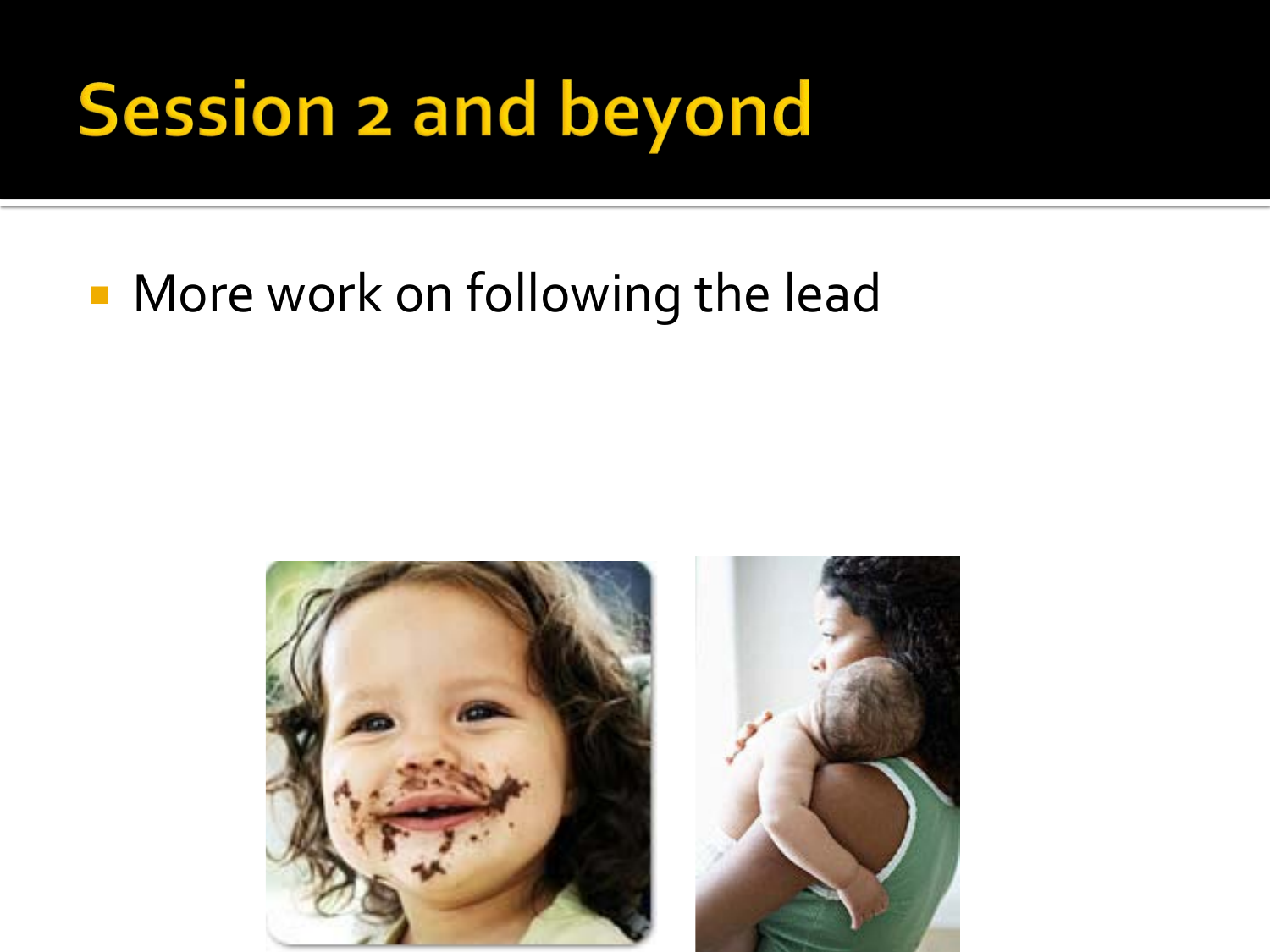## **Session 2 and beyond**

#### **More work on following the lead**

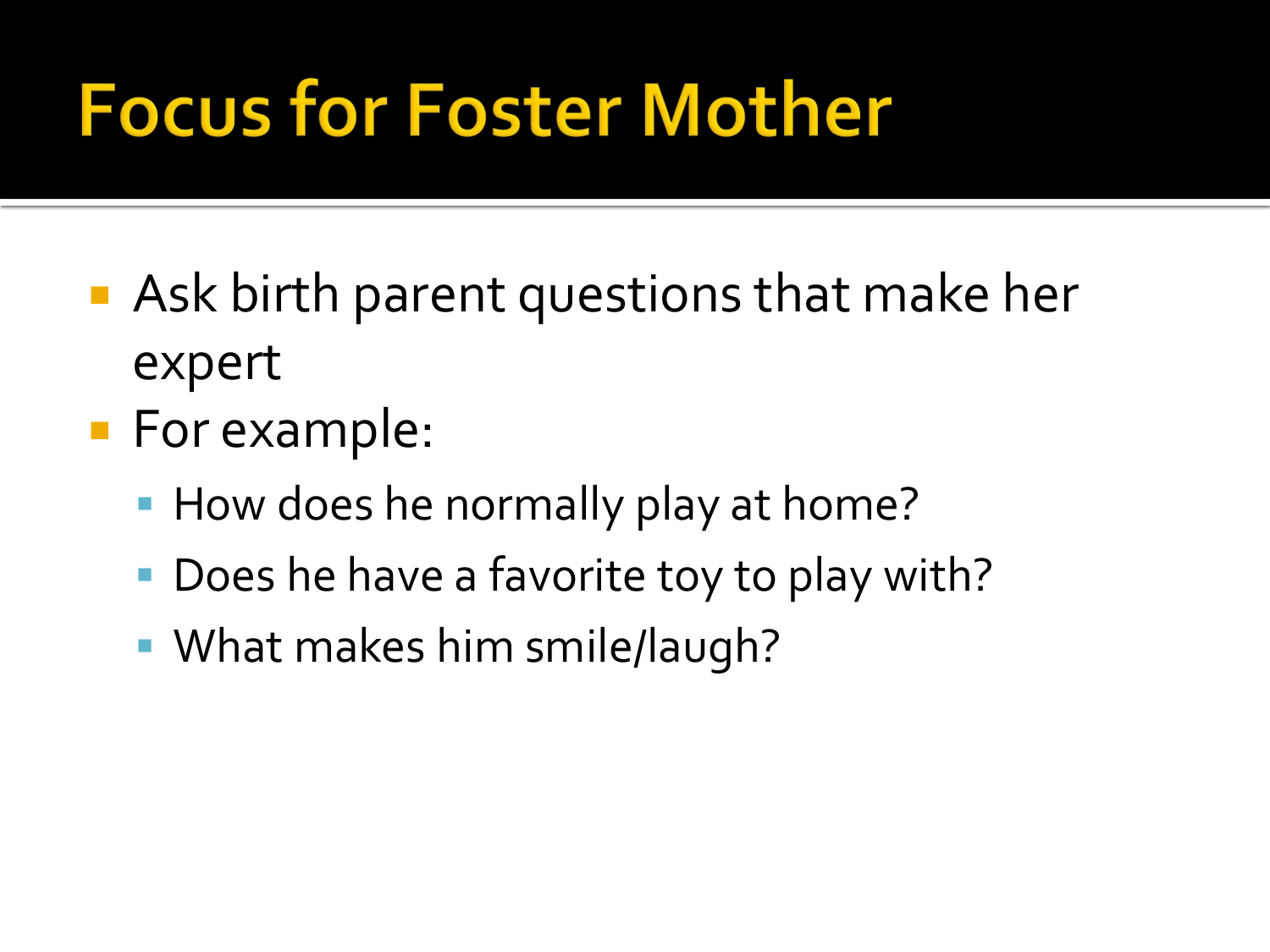### **Focus for Foster Mother**

- **Ask birth parent questions that make her** expert
- **For example:** 
	- How does he normally play at home?
	- Does he have a favorite toy to play with?
	- What makes him smile/laugh?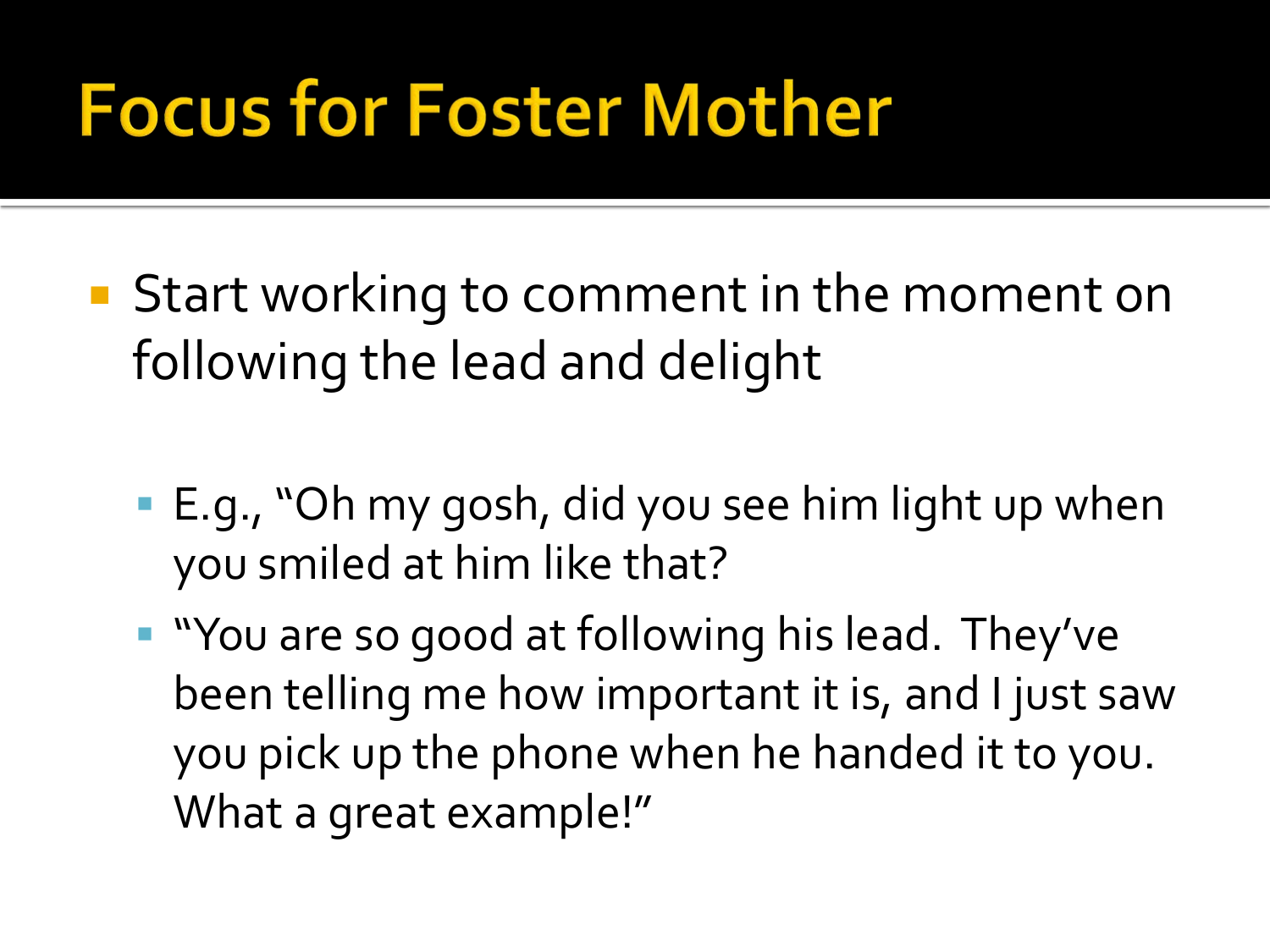#### **Focus for Foster Mother**

- **Start working to comment in the moment on** following the lead and delight
	- E.g., "Oh my gosh, did you see him light up when you smiled at him like that?
	- **"** "You are so good at following his lead. They've been telling me how important it is, and I just saw you pick up the phone when he handed it to you. What a great example!"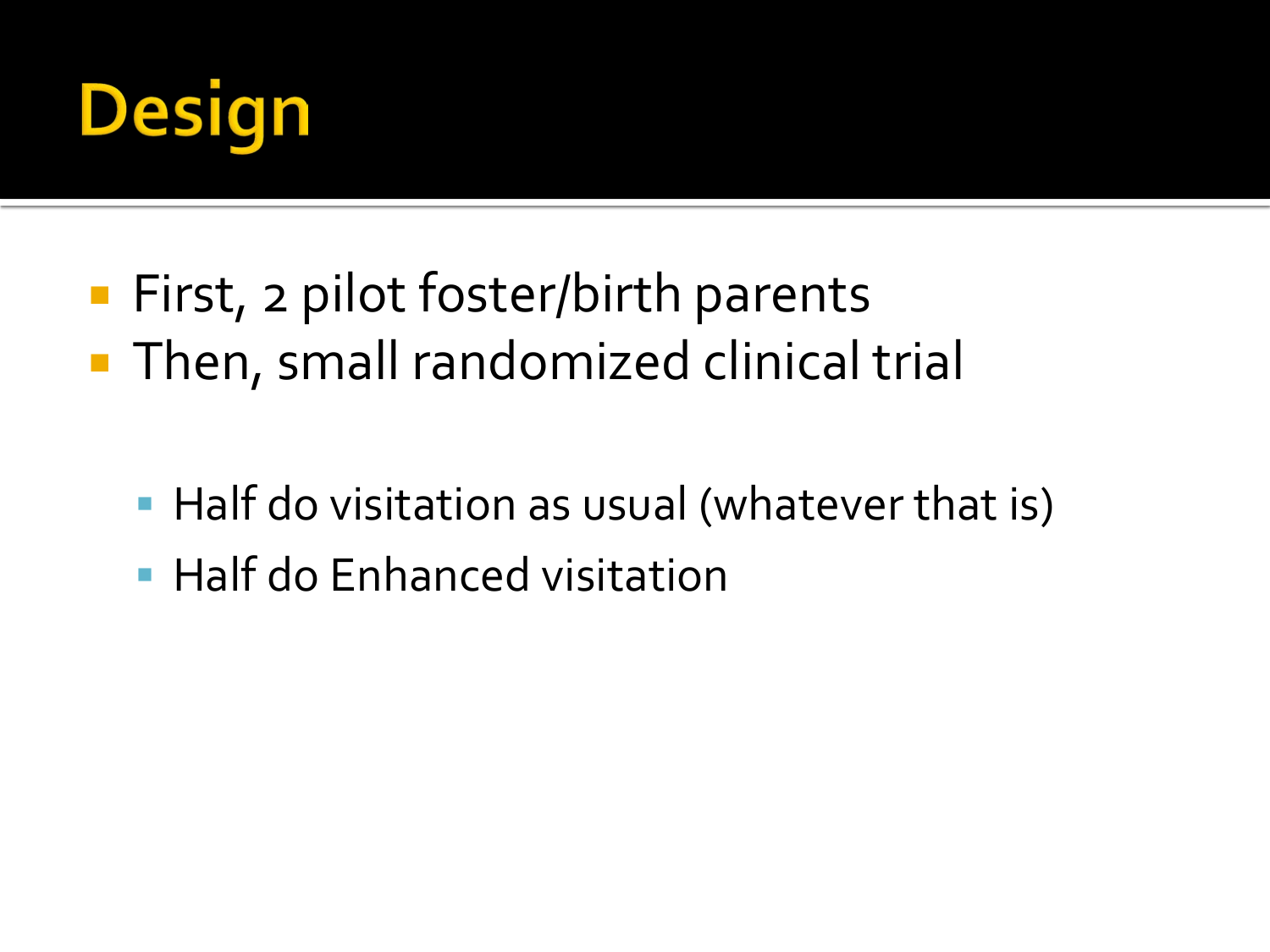

- First, 2 pilot foster/birth parents **Then, small randomized clinical trial** 
	- Half do visitation as usual (whatever that is)
	- **Half do Enhanced visitation**